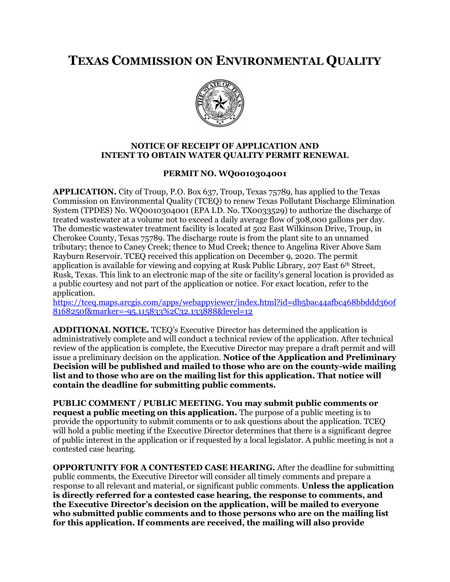## **TEXAS COMMISSION ON ENVIRONMENTAL QUALITY**



## **NOTICE OF RECEIPT OF APPLICATION AND INTENT TO OBTAIN WATER QUALITY PERMIT RENEWAL**

## **PERMIT NO. WQ0010304001**

**APPLICATION.** City of Troup, P.O. Box 637, Troup, Texas 75789, has applied to the Texas Commission on Environmental Quality (TCEQ) to renew Texas Pollutant Discharge Elimination System (TPDES) No. WQ0010304001 (EPA I.D. No. TX0033529) to authorize the discharge of treated wastewater at a volume not to exceed a daily average flow of 308,000 gallons per day. The domestic wastewater treatment facility is located at 502 East Wilkinson Drive, Troup, in Cherokee County, Texas 75789. The discharge route is from the plant site to an unnamed tributary; thence to Caney Creek; thence to Mud Creek; thence to Angelina River Above Sam Rayburn Reservoir. TCEQ received this application on December 9, 2020. The permit application is available for viewing and copying at Rusk Public Library, 207 East 6th Street, Rusk, Texas. This link to an electronic map of the site or facility's general location is provided as a public courtesy and not part of the application or notice. For exact location, refer to the application.

[https://tceq.maps.arcgis.com/apps/webappviewer/index.html?id=db5bac44afbc468bbddd360f](https://tceq.maps.arcgis.com/apps/webappviewer/index.html?id=db5bac44afbc468bbddd360f8168250f&marker=-95.115833%2C32.133888&level=12) [8168250f&marker=-95.115833%2C32.133888&level=12](https://tceq.maps.arcgis.com/apps/webappviewer/index.html?id=db5bac44afbc468bbddd360f8168250f&marker=-95.115833%2C32.133888&level=12)

**ADDITIONAL NOTICE.** TCEQ's Executive Director has determined the application is administratively complete and will conduct a technical review of the application. After technical review of the application is complete, the Executive Director may prepare a draft permit and will issue a preliminary decision on the application. **Notice of the Application and Preliminary Decision will be published and mailed to those who are on the county-wide mailing list and to those who are on the mailing list for this application. That notice will contain the deadline for submitting public comments.**

**PUBLIC COMMENT / PUBLIC MEETING. You may submit public comments or request a public meeting on this application.** The purpose of a public meeting is to provide the opportunity to submit comments or to ask questions about the application. TCEQ will hold a public meeting if the Executive Director determines that there is a significant degree of public interest in the application or if requested by a local legislator. A public meeting is not a contested case hearing.

**OPPORTUNITY FOR A CONTESTED CASE HEARING.** After the deadline for submitting public comments, the Executive Director will consider all timely comments and prepare a response to all relevant and material, or significant public comments. **Unless the application is directly referred for a contested case hearing, the response to comments, and the Executive Director's decision on the application, will be mailed to everyone who submitted public comments and to those persons who are on the mailing list for this application. If comments are received, the mailing will also provide**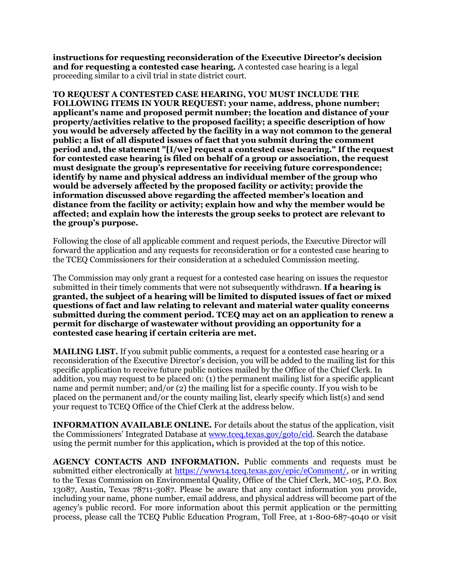**instructions for requesting reconsideration of the Executive Director's decision and for requesting a contested case hearing.** A contested case hearing is a legal proceeding similar to a civil trial in state district court.

**TO REQUEST A CONTESTED CASE HEARING, YOU MUST INCLUDE THE FOLLOWING ITEMS IN YOUR REQUEST: your name, address, phone number; applicant's name and proposed permit number; the location and distance of your property/activities relative to the proposed facility; a specific description of how you would be adversely affected by the facility in a way not common to the general public; a list of all disputed issues of fact that you submit during the comment period and, the statement "[I/we] request a contested case hearing." If the request for contested case hearing is filed on behalf of a group or association, the request must designate the group's representative for receiving future correspondence; identify by name and physical address an individual member of the group who would be adversely affected by the proposed facility or activity; provide the information discussed above regarding the affected member's location and distance from the facility or activity; explain how and why the member would be affected; and explain how the interests the group seeks to protect are relevant to the group's purpose.** 

Following the close of all applicable comment and request periods, the Executive Director will forward the application and any requests for reconsideration or for a contested case hearing to the TCEQ Commissioners for their consideration at a scheduled Commission meeting.

The Commission may only grant a request for a contested case hearing on issues the requestor submitted in their timely comments that were not subsequently withdrawn. **If a hearing is granted, the subject of a hearing will be limited to disputed issues of fact or mixed questions of fact and law relating to relevant and material water quality concerns submitted during the comment period. TCEQ may act on an application to renew a permit for discharge of wastewater without providing an opportunity for a contested case hearing if certain criteria are met.**

**MAILING LIST.** If you submit public comments, a request for a contested case hearing or a reconsideration of the Executive Director's decision, you will be added to the mailing list for this specific application to receive future public notices mailed by the Office of the Chief Clerk. In addition, you may request to be placed on: (1) the permanent mailing list for a specific applicant name and permit number; and/or (2) the mailing list for a specific county. If you wish to be placed on the permanent and/or the county mailing list, clearly specify which list(s) and send your request to TCEQ Office of the Chief Clerk at the address below.

**INFORMATION AVAILABLE ONLINE.** For details about the status of the application, visit the Commissioners' Integrated Database at [www.tceq.texas.gov/goto/cid.](http://www.tceq.texas.gov/goto/cid) Search the database using the permit number for this application**,** which is provided at the top of this notice.

**AGENCY CONTACTS AND INFORMATION.** Public comments and requests must be submitted either electronically at [https://www14.tceq.texas.gov/epic/eComment/,](https://www14.tceq.texas.gov/epic/eComment/) or in writing to the Texas Commission on Environmental Quality, Office of the Chief Clerk, MC-105, P.O. Box 13087, Austin, Texas 78711-3087. Please be aware that any contact information you provide, including your name, phone number, email address, and physical address will become part of the agency's public record. For more information about this permit application or the permitting process, please call the TCEQ Public Education Program, Toll Free, at 1-800-687-4040 or visit